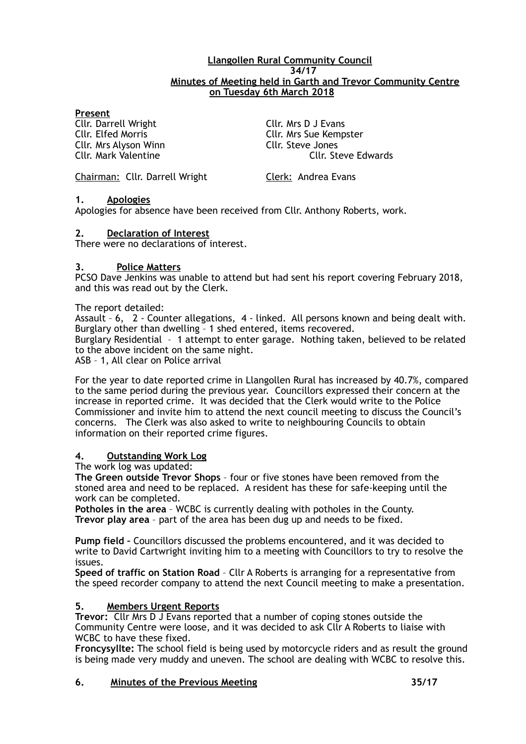#### **Llangollen Rural Community Council 34/17 Minutes of Meeting held in Garth and Trevor Community Centre on Tuesday 6th March 2018**

#### **Present**

Cllr. Darrell Wright Cllr. Mrs D J Evans Cllr. Mrs Alyson Winn Cllr. Steve Jones

Cllr. Elfed Morris Cllr. Mrs Sue Kempster Cllr. Mark Valentine Cllr. Steve Edwards

Chairman: Cllr. Darrell Wright Clerk: Andrea Evans

#### **1. Apologies**

Apologies for absence have been received from Cllr. Anthony Roberts, work.

#### **2. Declaration of Interest**

There were no declarations of interest.

#### **3. Police Matters**

PCSO Dave Jenkins was unable to attend but had sent his report covering February 2018, and this was read out by the Clerk.

The report detailed:

Assault – 6, 2 - Counter allegations, 4 - linked. All persons known and being dealt with. Burglary other than dwelling – 1 shed entered, items recovered.

Burglary Residential – 1 attempt to enter garage. Nothing taken, believed to be related to the above incident on the same night.

ASB – 1, All clear on Police arrival

For the year to date reported crime in Llangollen Rural has increased by 40.7%, compared to the same period during the previous year. Councillors expressed their concern at the increase in reported crime. It was decided that the Clerk would write to the Police Commissioner and invite him to attend the next council meeting to discuss the Council's concerns. The Clerk was also asked to write to neighbouring Councils to obtain information on their reported crime figures.

### **4. Outstanding Work Log**

The work log was updated:

**The Green outside Trevor Shops** – four or five stones have been removed from the stoned area and need to be replaced. A resident has these for safe-keeping until the work can be completed.

**Potholes in the area** – WCBC is currently dealing with potholes in the County. **Trevor play area** – part of the area has been dug up and needs to be fixed.

**Pump field –** Councillors discussed the problems encountered, and it was decided to write to David Cartwright inviting him to a meeting with Councillors to try to resolve the issues.

**Speed of traffic on Station Road** – Cllr A Roberts is arranging for a representative from the speed recorder company to attend the next Council meeting to make a presentation.

### **5. Members Urgent Reports**

**Trevor:** Cllr Mrs D J Evans reported that a number of coping stones outside the Community Centre were loose, and it was decided to ask Cllr A Roberts to liaise with WCBC to have these fixed.

**Froncysyllte:** The school field is being used by motorcycle riders and as result the ground is being made very muddy and uneven. The school are dealing with WCBC to resolve this.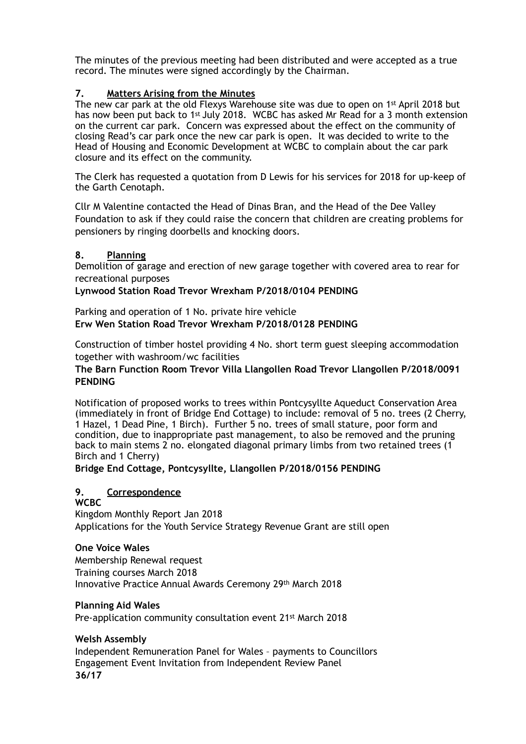The minutes of the previous meeting had been distributed and were accepted as a true record. The minutes were signed accordingly by the Chairman.

## **7. Matters Arising from the Minutes**

The new car park at the old Flexys Warehouse site was due to open on 1st April 2018 but has now been put back to 1<sup>st</sup> July 2018. WCBC has asked Mr Read for a 3 month extension on the current car park. Concern was expressed about the effect on the community of closing Read's car park once the new car park is open. It was decided to write to the Head of Housing and Economic Development at WCBC to complain about the car park closure and its effect on the community.

The Clerk has requested a quotation from D Lewis for his services for 2018 for up-keep of the Garth Cenotaph.

Cllr M Valentine contacted the Head of Dinas Bran, and the Head of the Dee Valley Foundation to ask if they could raise the concern that children are creating problems for pensioners by ringing doorbells and knocking doors.

### **8. Planning**

Demolition of garage and erection of new garage together with covered area to rear for recreational purposes

## **Lynwood Station Road Trevor Wrexham P/2018/0104 PENDING**

Parking and operation of 1 No. private hire vehicle **Erw Wen Station Road Trevor Wrexham P/2018/0128 PENDING** 

Construction of timber hostel providing 4 No. short term guest sleeping accommodation together with washroom/wc facilities

## **The Barn Function Room Trevor Villa Llangollen Road Trevor Llangollen P/2018/0091 PENDING**

Notification of proposed works to trees within Pontcysyllte Aqueduct Conservation Area (immediately in front of Bridge End Cottage) to include: removal of 5 no. trees (2 Cherry, 1 Hazel, 1 Dead Pine, 1 Birch). Further 5 no. trees of small stature, poor form and condition, due to inappropriate past management, to also be removed and the pruning back to main stems 2 no. elongated diagonal primary limbs from two retained trees (1 Birch and 1 Cherry)

**Bridge End Cottage, Pontcysyllte, Llangollen P/2018/0156 PENDING**

# **9. Correspondence**

### **WCBC**

Kingdom Monthly Report Jan 2018 Applications for the Youth Service Strategy Revenue Grant are still open

### **One Voice Wales**

Membership Renewal request Training courses March 2018 Innovative Practice Annual Awards Ceremony 29th March 2018

### **Planning Aid Wales**

Pre-application community consultation event 21st March 2018

# **Welsh Assembly**

Independent Remuneration Panel for Wales – payments to Councillors Engagement Event Invitation from Independent Review Panel **36/17**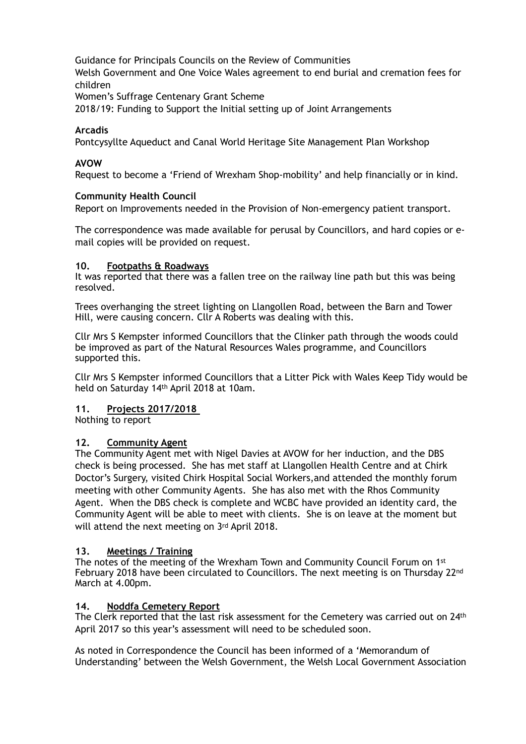Guidance for Principals Councils on the Review of Communities Welsh Government and One Voice Wales agreement to end burial and cremation fees for children Women's Suffrage Centenary Grant Scheme

2018/19: Funding to Support the Initial setting up of Joint Arrangements

### **Arcadis**

Pontcysyllte Aqueduct and Canal World Heritage Site Management Plan Workshop

### **AVOW**

Request to become a 'Friend of Wrexham Shop-mobility' and help financially or in kind.

## **Community Health Council**

Report on Improvements needed in the Provision of Non-emergency patient transport.

The correspondence was made available for perusal by Councillors, and hard copies or email copies will be provided on request.

### **10. Footpaths & Roadways**

It was reported that there was a fallen tree on the railway line path but this was being resolved.

Trees overhanging the street lighting on Llangollen Road, between the Barn and Tower Hill, were causing concern. Cllr A Roberts was dealing with this.

Cllr Mrs S Kempster informed Councillors that the Clinker path through the woods could be improved as part of the Natural Resources Wales programme, and Councillors supported this.

Cllr Mrs S Kempster informed Councillors that a Litter Pick with Wales Keep Tidy would be held on Saturday 14th April 2018 at 10am.

### **11. Projects 2017/2018**

Nothing to report

### **12. Community Agent**

The Community Agent met with Nigel Davies at AVOW for her induction, and the DBS check is being processed. She has met staff at Llangollen Health Centre and at Chirk Doctor's Surgery, visited Chirk Hospital Social Workers,and attended the monthly forum meeting with other Community Agents. She has also met with the Rhos Community Agent. When the DBS check is complete and WCBC have provided an identity card, the Community Agent will be able to meet with clients. She is on leave at the moment but will attend the next meeting on 3rd April 2018.

### **13. Meetings / Training**

The notes of the meeting of the Wrexham Town and Community Council Forum on 1st February 2018 have been circulated to Councillors. The next meeting is on Thursday 22<sup>nd</sup> March at 4.00pm.

### **14. Noddfa Cemetery Report**

The Clerk reported that the last risk assessment for the Cemetery was carried out on 24<sup>th</sup> April 2017 so this year's assessment will need to be scheduled soon.

As noted in Correspondence the Council has been informed of a 'Memorandum of Understanding' between the Welsh Government, the Welsh Local Government Association